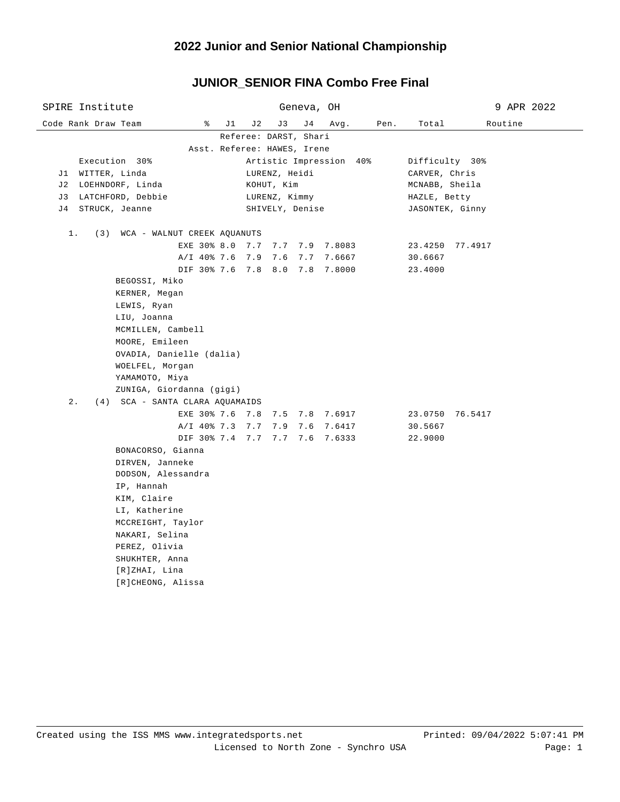# **2022 Junior and Senior National Championship**

## **JUNIOR\_SENIOR FINA Combo Free Final**

| SPIRE Institute                                                   |    |                 | Geneva, OH |                         |                |                 | 9 APR 2022 |  |  |  |  |
|-------------------------------------------------------------------|----|-----------------|------------|-------------------------|----------------|-----------------|------------|--|--|--|--|
| ိ<br>Code Rank Draw Team                                          | J1 | J 2<br>J3       | J 4        | Avg.                    | Pen.           | Total           | Routine    |  |  |  |  |
| Referee: DARST, Shari                                             |    |                 |            |                         |                |                 |            |  |  |  |  |
| Asst. Referee: HAWES, Irene                                       |    |                 |            |                         |                |                 |            |  |  |  |  |
| Execution 30%                                                     |    |                 |            | Artistic Impression 40% |                | Difficulty 30%  |            |  |  |  |  |
| J1 WITTER, Linda                                                  |    | LURENZ, Heidi   |            |                         | CARVER, Chris  |                 |            |  |  |  |  |
| J2 LOEHNDORF, Linda                                               |    | KOHUT, Kim      |            |                         | MCNABB, Sheila |                 |            |  |  |  |  |
| J3 LATCHFORD, Debbie                                              |    | LURENZ, Kimmy   |            |                         |                | HAZLE, Betty    |            |  |  |  |  |
| J4 STRUCK, Jeanne                                                 |    | SHIVELY, Denise |            |                         |                | JASONTEK, Ginny |            |  |  |  |  |
| $1$ .<br>(3) WCA - WALNUT CREEK AQUANUTS                          |    |                 |            |                         |                |                 |            |  |  |  |  |
| EXE 30% 8.0 7.7 7.7 7.9 7.8083                                    |    |                 |            |                         |                | 23.4250 77.4917 |            |  |  |  |  |
| A/I 40% 7.6 7.9 7.6                                               |    |                 |            | 7.7 7.6667              |                | 30.6667         |            |  |  |  |  |
| DIF 30% 7.6 7.8 8.0 7.8 7.8000                                    |    |                 |            |                         |                | 23.4000         |            |  |  |  |  |
| BEGOSSI, Miko                                                     |    |                 |            |                         |                |                 |            |  |  |  |  |
| KERNER, Megan                                                     |    |                 |            |                         |                |                 |            |  |  |  |  |
| LEWIS, Ryan                                                       |    |                 |            |                         |                |                 |            |  |  |  |  |
| LIU, Joanna                                                       |    |                 |            |                         |                |                 |            |  |  |  |  |
| MCMILLEN, Cambell                                                 |    |                 |            |                         |                |                 |            |  |  |  |  |
| MOORE, Emileen                                                    |    |                 |            |                         |                |                 |            |  |  |  |  |
| OVADIA, Danielle (dalia)                                          |    |                 |            |                         |                |                 |            |  |  |  |  |
| WOELFEL, Morgan                                                   |    |                 |            |                         |                |                 |            |  |  |  |  |
| ҮАМАМОТО, Міуа                                                    |    |                 |            |                         |                |                 |            |  |  |  |  |
| ZUNIGA, Giordanna (gigi)<br>$2$ .                                 |    |                 |            |                         |                |                 |            |  |  |  |  |
| (4) SCA - SANTA CLARA AQUAMAIDS<br>EXE 30% 7.6 7.8 7.5 7.8 7.6917 |    |                 |            |                         |                | 23.0750 76.5417 |            |  |  |  |  |
| A/I 40% 7.3 7.7 7.9 7.6 7.6417                                    |    |                 |            |                         |                | 30.5667         |            |  |  |  |  |
| DIF 30% 7.4 7.7 7.7 7.6 7.6333                                    |    |                 |            |                         |                | 22.9000         |            |  |  |  |  |
| BONACORSO, Gianna                                                 |    |                 |            |                         |                |                 |            |  |  |  |  |
| DIRVEN, Janneke                                                   |    |                 |            |                         |                |                 |            |  |  |  |  |
| DODSON, Alessandra                                                |    |                 |            |                         |                |                 |            |  |  |  |  |
| IP, Hannah                                                        |    |                 |            |                         |                |                 |            |  |  |  |  |
| KIM, Claire                                                       |    |                 |            |                         |                |                 |            |  |  |  |  |
| LI, Katherine                                                     |    |                 |            |                         |                |                 |            |  |  |  |  |
| MCCREIGHT, Taylor                                                 |    |                 |            |                         |                |                 |            |  |  |  |  |
| NAKARI, Selina                                                    |    |                 |            |                         |                |                 |            |  |  |  |  |
| PEREZ, Olivia                                                     |    |                 |            |                         |                |                 |            |  |  |  |  |
| SHUKHTER, Anna                                                    |    |                 |            |                         |                |                 |            |  |  |  |  |
| [R]ZHAI, Lina                                                     |    |                 |            |                         |                |                 |            |  |  |  |  |
| [R]CHEONG, Alissa                                                 |    |                 |            |                         |                |                 |            |  |  |  |  |
|                                                                   |    |                 |            |                         |                |                 |            |  |  |  |  |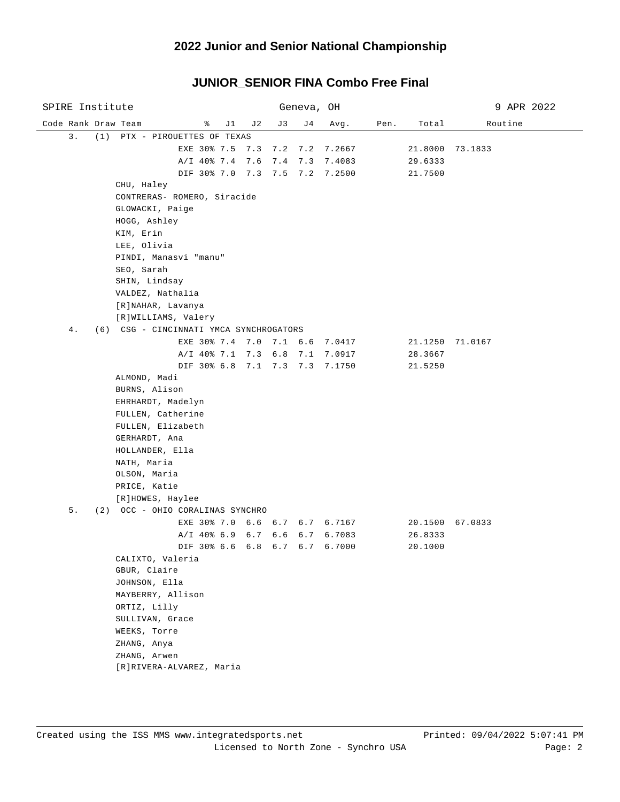### **2022 Junior and Senior National Championship**

#### Code Rank Draw Team % J1 J2 J3 J4 Avg. Pen. Total Routine SPIRE Institute Geneva, OH 9 APR 2022 3. (1) PTX - PIROUETTES OF TEXAS EXE 30% 7.5 7.3 7.2 7.2 7.2667 21.8000 73.1833 A/I 40% 7.4 7.6 7.4 7.3 7.4083 29.6333 DIF 30% 7.0 7.3 7.5 7.2 7.2500 21.7500 CHU, Haley CONTRERAS- ROMERO, Siracide GLOWACKI, Paige HOGG, Ashley KIM, Erin LEE, Olivia PINDI, Manasvi "manu" SEO, Sarah SHIN, Lindsay VALDEZ, Nathalia [R]NAHAR, Lavanya [R]WILLIAMS, Valery 4. (6) CSG - CINCINNATI YMCA SYNCHROGATORS EXE 30% 7.4 7.0 7.1 6.6 7.0417 21.1250 71.0167 A/I 40% 7.1 7.3 6.8 7.1 7.0917 28.3667 DIF 30% 6.8 7.1 7.3 7.3 7.1750 21.5250 ALMOND, Madi BURNS, Alison EHRHARDT, Madelyn FULLEN, Catherine FULLEN, Elizabeth GERHARDT, Ana HOLLANDER, Ella NATH, Maria OLSON, Maria PRICE, Katie [R]HOWES, Haylee 5. (2) OCC - OHIO CORALINAS SYNCHRO EXE 30% 7.0 6.6 6.7 6.7 6.7167 20.1500 67.0833 A/I 40% 6.9 6.7 6.6 6.7 6.7083 26.8333 DIF 30% 6.6 6.8 6.7 6.7 6.7000 20.1000 CALIXTO, Valeria GBUR, Claire JOHNSON, Ella MAYBERRY, Allison ORTIZ, Lilly SULLIVAN, Grace WEEKS, Torre ZHANG, Anya ZHANG, Arwen [R]RIVERA-ALVAREZ, Maria

### **JUNIOR\_SENIOR FINA Combo Free Final**